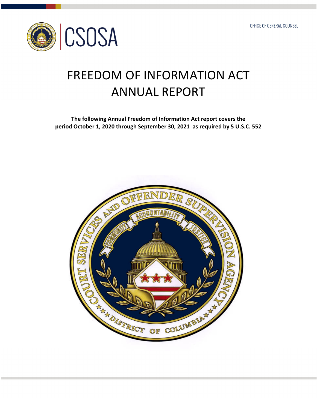

# FREEDOM OF INFORMATION ACT ANNUAL REPORT

 **The following Annual Freedom of Information Act report covers the** period October 1, 2020 through September 30, 2021 as required by 5 U.S.C. 552

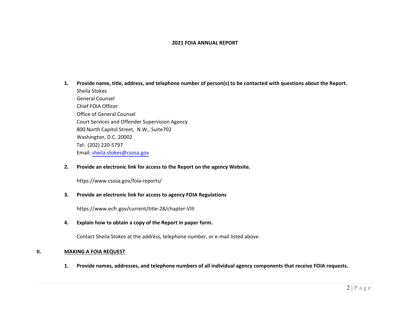#### **2021 FOIA ANNUAL REPORT**

**1.**. Provide name, title, address, and telephone number of  $\mathsf{person}(\mathsf{s})$  to be contacted with questions about the Report. Sheila Stokes General Counsel Chief FOIA Officer Office of General Counsel Court Services and Offender Supervision Agency 800 North Capitol Street, N.W., Suite702 Washington, D.C. 20002Tel: (202) <sup>220</sup>‐<sup>5797</sup>Email: [sheila.stokes@csosa.gov](mailto:sheila.stokes@csosa.gov)

#### **2.Provide an electronic link for access to the Report on the agency Website.**

<https://www.csosa.gov/foia-reports/>

#### **3.Provide an electronic link for access to agency FOIA Regulations**

<https://www.ecfr.gov/current/title-28/chapter-VIII>

**4.Explain how to obtain <sup>a</sup> copy of the Report in paper form.**

Contact Sheila Stokes at the address, telephone number, or <sup>e</sup>‐mail listed above.

#### **II.MAKING A FOIA REQUEST**

1. Provide names, addresses, and telephone numbers of all individual agency components that receive FOIA requests.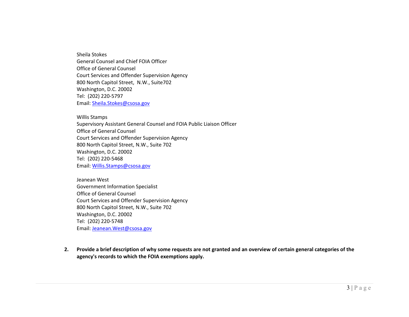Sheila Stokes General Counsel and Chief FOIA Officer Office of General Counsel Court Services and Offender Supervision Agency 800 North Capitol Street, N.W., Suite702 Washington, D.C. 20002 Tel: (202) 220‐5797 Email: <u>[Sheila.Stokes@csosa.gov](mailto:Sheila.Stokes@csosa.gov)</u>

Willis Stamps Supervisory Assistant General Counsel and FOIA Public Liaison Officer Office of General Counsel Court Services and Offender Supervision Agency 800 North Capitol Street, N.W., Suite 702 Washington, D.C. 20002 Tel: (202) 220‐5468 Email: [Willis.Stamps@csosa.gov](mailto:Willis.Stamps@csosa.gov)

Jeanean West Government Information Specialist Office of General Counsel Court Services and Offender Supervision Agency 800 North Capitol Street, N.W., Suite 702 Washington, D.C. 20002 Tel: (202) 220‐5748 Email: <u>[Jeanean.West@csosa.gov](mailto:Jeanean.West@csosa.gov)</u>

2. Provide a brief description of why some requests are not granted and an overview of certain general categories of the **agency's records to which the FOIA exemptions apply.**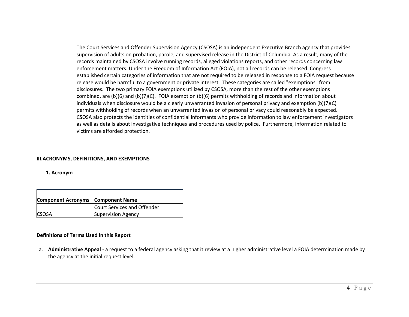The Court Services and Offender Supervision Agency (CSOSA) is an independent Executive Branch agency that provides supervision of adults on probation, parole, and supervised release in the District of Columbia. As <sup>a</sup> result, many of the records maintained by CSOSA involve running records, alleged violations reports, and other records concerning law enforcement matters. Under the Freedom of Information Act (FOIA), not all records can be released. Congress established certain categories of information that are not required to be released in response to <sup>a</sup> FOIA request because release would be harmful to <sup>a</sup> government or private interest. These categories are called "exemptions" from disclosures. The two primary FOIA exemptions utilized by CSOSA, more than the rest of the other exemptions combined, are (b)(6) and (b)(7)(C). FOIA exemption (b)(6) permits withholding of records and information about individuals when disclosure would be <sup>a</sup> clearly unwarranted invasion of personal privacy and exemption (b)(7)(C) permits withholding of records when an unwarranted invasion of personal privacy could reasonably be expected. CSOSA also protects the identities of confidential informants who provide information to law enforcement investigators as well as details about investigative techniques and procedures used by police. Furthermore, information related to victims are afforded protection.

#### **III.ACRONYMS, DEFINITIONS, AND EXEMPTIONS**

#### **1. Acronym**

| <b>Component Acronyms</b> | <b>Component Name</b>       |
|---------------------------|-----------------------------|
|                           | Court Services and Offender |
| <b>CSOSA</b>              | <b>Supervision Agency</b>   |

#### **Definitions of Terms Used in this Report**

a. **Administrative Appeal** ‐ <sup>a</sup> request to <sup>a</sup> federal agency asking that it review at <sup>a</sup> higher administrative level <sup>a</sup> FOIA determination made by the agency at the initial request level.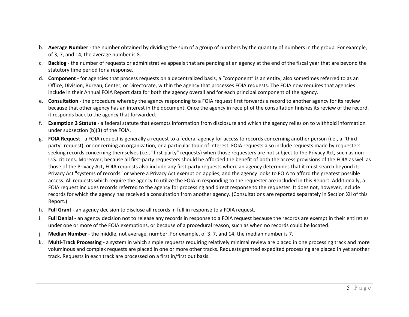- b. **Average Number** ‐ the number obtained by dividing the sum of <sup>a</sup> group of numbers by the quantity of numbers in the group. For example, of 3, 7, and 14, the average number is 8.
- c. **Backlog** ‐ the number of requests or administrative appeals that are pending at an agency at the end of the fiscal year that are beyond the statutory time period for <sup>a</sup> response.
- d. **Component** ‐ for agencies that process requests on <sup>a</sup> decentralized basis, <sup>a</sup> "component" is an entity, also sometimes referred to as an Office, Division, Bureau, Center, or Directorate, within the agency that processes FOIA requests. The FOIA now requires that agencies include in their Annual FOIA Report data for both the agency overall and for each principal component of the agency.
- e. **Consultation** ‐ the procedure whereby the agency responding to <sup>a</sup> FOIA request first forwards <sup>a</sup> record to another agency for its review because that other agency has an interest in the document. Once the agency in receipt of the consultation finishes its review of the record, it responds back to the agency that forwarded.
- f. **Exemption 3 Statute** ‐ <sup>a</sup> federal statute that exempts information from disclosure and which the agency relies on to withhold information under subsection (b)(3) of the FOIA.
- g. **FOIA Request** ‐ <sup>a</sup> FOIA request is generally <sup>a</sup> request to <sup>a</sup> federal agency for access to records concerning another person (i.e., <sup>a</sup> "third‐ party" request), or concerning an organization, or <sup>a</sup> particular topic of interest. FOIA requests also include requests made by requesters seeking records concerning themselves (i.e., "first-party" requests) when those requesters are not subject to the Privacy Act, such as non-U.S. citizens. Moreover, because all first‐party requesters should be afforded the benefit of both the access provisions of the FOIA as well as those of the Privacy Act, FOIA requests also include any first‐party requests where an agency determines that it must search beyond its Privacy Act "systems of records" or where <sup>a</sup> Privacy Act exemption applies, and the agency looks to FOIA to afford the greatest possible access. All requests which require the agency to utilize the FOIA in responding to the requester are included in this Report. Additionally, <sup>a</sup> FOIA request includes records referred to the agency for processing and direct response to the requester. It does not, however, include records for which the agency has received <sup>a</sup> consultation from another agency. (Consultations are reported separately in Section XII of this Report.)
- h. **Full Grant** ‐ an agency decision to disclose all records in full in response to <sup>a</sup> FOIA request.
- i. **Full Denial** ‐ an agency decision not to release any records in response to <sup>a</sup> FOIA request because the records are exempt in their entireties under one or more of the FOIA exemptions, or because of <sup>a</sup> procedural reason, such as when no records could be located.
- j. **Median Number** ‐ the middle, not average, number. For example, of 3, 7, and 14, the median number is 7.
- k. **Multi‐Track Processing** ‐ <sup>a</sup> system in which simple requests requiring relatively minimal review are placed in one processing track and more voluminous and complex requests are placed in one or more other tracks. Requests granted expedited processing are placed in yet another track. Requests in each track are processed on <sup>a</sup> first in/first out basis.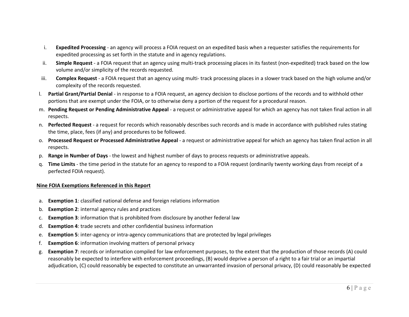- i. **Expedited Processing** ‐ an agency will process <sup>a</sup> FOIA request on an expedited basis when <sup>a</sup> requester satisfies the requirements for expedited processing as set forth in the statute and in agency regulations.
- ii. **Simple Request** ‐ <sup>a</sup> FOIA request that an agency using multi‐track processing places in its fastest (non‐expedited) track based on the low volume and/or simplicity of the records requested.
- iii. **Complex Request** ‐ <sup>a</sup> FOIA request that an agency using multi‐ track processing places in <sup>a</sup> slower track based on the high volume and/or complexity of the records requested.
- l. **Partial Grant/Partial Denial** ‐ in response to <sup>a</sup> FOIA request, an agency decision to disclose portions of the records and to withhold other portions that are exempt under the FOIA, or to otherwise deny <sup>a</sup> portion of the request for <sup>a</sup> procedural reason.
- m. **Pending Request or Pending Administrative Appeal** ‐ <sup>a</sup> request or administrative appeal for which an agency has not taken final action in all respects.
- n. **Perfected Request** ‐ <sup>a</sup> request for records which reasonably describes such records and is made in accordance with published rules stating the time, place, fees (if any) and procedures to be followed.
- o. **Processed Request or Processed Administrative Appeal** ‐ <sup>a</sup> request or administrative appeal for which an agency has taken final action in all respects.
- p. **Range in Number of Days** ‐ the lowest and highest number of days to process requests or administrative appeals.
- q. **Time Limits** ‐ the time period in the statute for an agency to respond to <sup>a</sup> FOIA request (ordinarily twenty working days from receipt of <sup>a</sup> perfected FOIA request).

## **Nine FOIA Exemptions Referenced in this Report**

- a. **Exemption 1**: classified national defense and foreign relations information
- b. **Exemption 2**: internal agency rules and practices
- c. **Exemption 3**: information that is prohibited from disclosure by another federal law
- d. **Exemption 4**: trade secrets and other confidential business information
- e. **Exemption 5**: inter‐agency or intra‐agency communications that are protected by legal privileges
- f. **Exemption 6**: information involving matters of personal privacy
- g. **Exemption 7**: records or information compiled for law enforcement purposes, to the extent that the production of those records (A) could reasonably be expected to interfere with enforcement proceedings, (B) would deprive <sup>a</sup> person of <sup>a</sup> right to <sup>a</sup> fair trial or an impartial adjudication, (C) could reasonably be expected to constitute an unwarranted invasion of personal privacy, (D) could reasonably be expected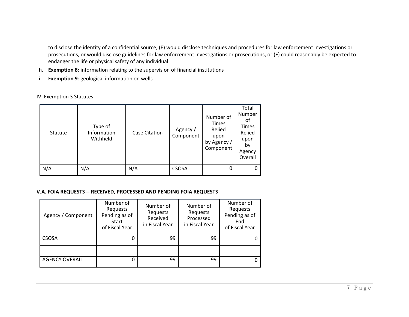to disclose the identity of <sup>a</sup> confidential source, (E) would disclose techniques and procedures for law enforcement investigations or prosecutions, or would disclose guidelines for law enforcement investigations or prosecutions, or (F) could reasonably be expected to endanger the life or physical safety of any individual

- h. **Exemption 8**: information relating to the supervision of financial institutions
- i. **Exemption 9**: geological information on wells

|  |  |  |  | IV. Exemption 3 Statutes |
|--|--|--|--|--------------------------|
|--|--|--|--|--------------------------|

| Statute | Type of<br>Information<br>Withheld | Case Citation | Agency /<br>Component | Number of<br><b>Times</b><br>Relied<br>upon<br>by Agency /<br>Component | Total<br>Number<br>οf<br>Times<br>Relied<br>upon<br>by<br>Agency<br>Overall |
|---------|------------------------------------|---------------|-----------------------|-------------------------------------------------------------------------|-----------------------------------------------------------------------------|
| N/A     | N/A                                | N/A           | <b>CSOSA</b>          | 0                                                                       |                                                                             |

#### **V.A. FOIA REQUESTS ‐‐ RECEIVED, PROCESSED AND PENDING FOIA REQUESTS**

| Agency / Component    | Number of<br>Requests<br>Pending as of<br>Start<br>of Fiscal Year | Number of<br>Requests<br>Received<br>in Fiscal Year | Number of<br>Requests<br>Processed<br>in Fiscal Year | Number of<br>Requests<br>Pending as of<br>End<br>of Fiscal Year |  |
|-----------------------|-------------------------------------------------------------------|-----------------------------------------------------|------------------------------------------------------|-----------------------------------------------------------------|--|
| <b>CSOSA</b>          |                                                                   | 99                                                  | 99                                                   |                                                                 |  |
|                       |                                                                   |                                                     |                                                      |                                                                 |  |
| <b>AGENCY OVERALL</b> |                                                                   | 99                                                  | 99                                                   |                                                                 |  |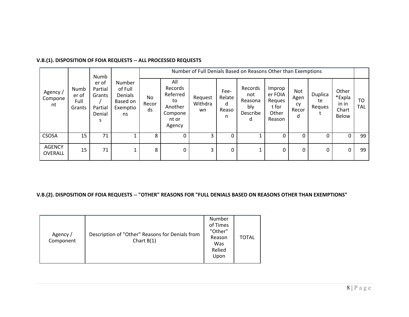# **V.B.(1). DISPOSITION OF FOIA REQUESTS ‐‐ ALL PROCESSED REQUESTS**

|                                                                                                                      | Numb                                                       |                   | Number of Full Denials Based on Reasons Other than Exemptions             |                          |                                   |                                                   |                                                         |                                 |                         |                                            |                              |          |    |
|----------------------------------------------------------------------------------------------------------------------|------------------------------------------------------------|-------------------|---------------------------------------------------------------------------|--------------------------|-----------------------------------|---------------------------------------------------|---------------------------------------------------------|---------------------------------|-------------------------|--------------------------------------------|------------------------------|----------|----|
| er of<br>Partial<br>Numb<br>Agency /<br>er of<br>Grants<br>Compone<br>Full<br>nt<br>Partial<br>Grants<br>Denial<br>S | Number<br>of Full<br>Denials<br>Based on<br>Exemptio<br>ns | No<br>Recor<br>ds | All<br>Records<br>Referred<br>to<br>Another<br>Compone<br>nt or<br>Agency | Request<br>Withdra<br>wn | Fee-<br>Relate<br>d<br>Reaso<br>n | Records<br>not<br>Reasona<br>bly<br>Describe<br>d | Improp<br>er FOIA<br>Reques<br>t for<br>Other<br>Reason | Not<br>Agen<br>cy<br>Recor<br>d | Duplica<br>te<br>Reques | Other<br>*Expla<br>in in<br>Chart<br>Below | T <sub>O</sub><br><b>TAL</b> |          |    |
| <b>CSOSA</b>                                                                                                         | 15                                                         | 71                |                                                                           | 8                        | 0                                 | 3                                                 | 0                                                       |                                 | 0                       | 0                                          | 0                            | $\Omega$ | 99 |
| <b>AGENCY</b><br>OVERALL                                                                                             | 15                                                         | 71                |                                                                           | 8                        | 0                                 | 3                                                 | $\Omega$                                                |                                 | $\Omega$                | $\Omega$                                   | $\Omega$                     | 0        | 99 |

# V.B.(2). DISPOSITION OF FOIA REQUESTS -- "OTHER" REASONS FOR "FULL DENIALS BASED ON REASONS OTHER THAN EXEMPTIONS"

| Agency /<br>Component | Description of "Other" Reasons for Denials from<br>Chart $B(1)$ | Number<br>of Times<br>"Other"<br>Reason<br>Was<br>Relied<br>Upon | TOTAL |
|-----------------------|-----------------------------------------------------------------|------------------------------------------------------------------|-------|
|-----------------------|-----------------------------------------------------------------|------------------------------------------------------------------|-------|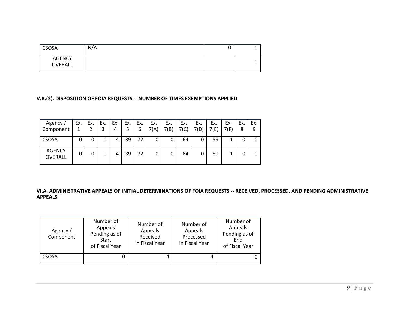| <b>CSOSA</b>             | N/A | ັ |  |
|--------------------------|-----|---|--|
| <b>AGENCY</b><br>OVERALL |     |   |  |

# **V.B.(3). DISPOSITION OF FOIA REQUESTS ‐‐ NUMBER OF TIMES EXEMPTIONS APPLIED**

| Agency /<br>Component           | Ex. | Ex. | Ex. | Ex.<br>4 | Ex.<br>5 | Ex.<br>6 | Ex.<br>7(A) | Ex.<br>7(B) | Ex.<br>7(C) | Ex.<br>7(D) | Ex.<br>7(E) | Ex.<br>7(F) | Ex.<br>8 | Ex.<br>9 |
|---------------------------------|-----|-----|-----|----------|----------|----------|-------------|-------------|-------------|-------------|-------------|-------------|----------|----------|
| <b>CSOSA</b>                    | 0   | 0   | 0   | 4        | 39       | 72       | 0           | 0           | 64          | 0           | 59          |             |          |          |
| <b>AGENCY</b><br><b>OVERALL</b> | 0   | 0   | 0   | 4        | 39       | 72       | 0           |             | 64          | 0           | 59          |             |          |          |

VI.A. ADMINISTRATIVE APPEALS OF INITIAL DETERMINATIONS OF FOIA REQUESTS -- RECEIVED, PROCESSED, AND PENDING ADMINISTRATIVE **APPEALS**

| Agency /<br>Component | Number of<br>Appeals<br>Pending as of<br>Start<br>of Fiscal Year | Number of<br>Appeals<br>Received<br>in Fiscal Year | Number of<br>Appeals<br>Processed<br>in Fiscal Year | Number of<br>Appeals<br>Pending as of<br>End<br>of Fiscal Year |
|-----------------------|------------------------------------------------------------------|----------------------------------------------------|-----------------------------------------------------|----------------------------------------------------------------|
| <b>CSOSA</b>          | U                                                                |                                                    | 4                                                   |                                                                |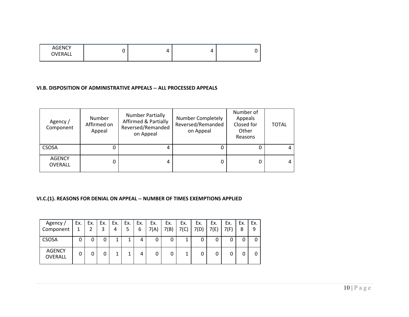| <b>AGENCY</b><br>OVERALL |  | 4 |  |
|--------------------------|--|---|--|
|                          |  |   |  |

#### **VI.B. DISPOSITION OF ADMINISTRATIVE APPEALS ‐‐ ALL PROCESSED APPEALS**

| Agency /<br>Component           | Number<br>Affirmed on<br>Appeal | <b>Number Partially</b><br><b>Affirmed &amp; Partially</b><br>Reversed/Remanded<br>on Appeal | Number Completely<br>Reversed/Remanded<br>on Appeal | Number of<br>Appeals<br>Closed for<br>Other<br>Reasons | <b>TOTAL</b> |  |
|---------------------------------|---------------------------------|----------------------------------------------------------------------------------------------|-----------------------------------------------------|--------------------------------------------------------|--------------|--|
| <b>CSOSA</b>                    | 0                               | 4                                                                                            |                                                     |                                                        |              |  |
| <b>AGENCY</b><br><b>OVERALL</b> | 0                               | 4                                                                                            |                                                     | 0                                                      |              |  |

# **VI.C.(1). REASONS FOR DENIAL ON APPEAL ‐‐ NUMBER OF TIMES EXEMPTIONS APPLIED**

| Agency /<br>Component           | Ex.<br>1 | Ex. | Ex. | Ex.<br>4 | Ex.<br>5 | Ex.<br>6 | Ex.<br>7(A) | Ex.<br>7(B) | Ex.<br>7(C) | Ex.<br>7(D) | Ex.<br>7(E) | Ex.<br>7(F) | Ex.<br>8 | Ex.<br>9 |
|---------------------------------|----------|-----|-----|----------|----------|----------|-------------|-------------|-------------|-------------|-------------|-------------|----------|----------|
| CSOSA                           | 0        | 0   | 0   | 1        |          | 4        | 0           | 0           | 1           |             | 0           |             |          |          |
| <b>AGENCY</b><br><b>OVERALL</b> | 0        |     | 0   | 1        |          | 4        |             |             | 1<br>Ŧ.     |             | 0           |             |          |          |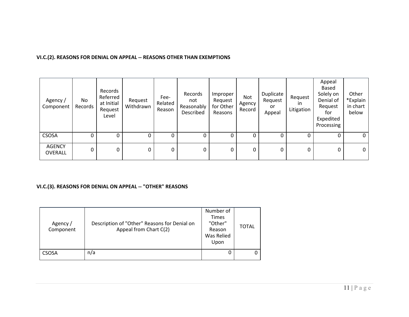# **VI.C.(2). REASONS FOR DENIAL ON APPEAL ‐‐ REASONS OTHER THAN EXEMPTIONS**

| Agency /<br>Component           | No<br>Records | Records<br>Referred<br>at Initial<br>Request<br>Level | Request<br>Withdrawn | Fee-<br>Related<br>Reason | Records<br>not<br>Reasonably<br>Described | Improper<br>Request<br>for Other<br>Reasons | Not<br>Agency<br>Record | Duplicate<br>Request<br>or<br>Appeal | Request<br>ın<br>Litigation | Appeal<br>Based<br>Solely on<br>Denial of<br>Request<br>for<br>Expedited<br>Processing | Other<br>*Explain<br>in chart<br>below |
|---------------------------------|---------------|-------------------------------------------------------|----------------------|---------------------------|-------------------------------------------|---------------------------------------------|-------------------------|--------------------------------------|-----------------------------|----------------------------------------------------------------------------------------|----------------------------------------|
| <b>CSOSA</b>                    | 0             |                                                       |                      |                           | 0                                         | 0                                           | 0                       |                                      |                             |                                                                                        | 0                                      |
| <b>AGENCY</b><br><b>OVERALL</b> | 0             | 0                                                     | 0                    | 0                         | 0                                         | 0                                           | 0                       | 0                                    | 0                           | 0                                                                                      | 0                                      |

# **VI.C.(3). REASONS FOR DENIAL ON APPEAL ‐‐ "OTHER" REASONS**

| Agency /<br>Component | Description of "Other" Reasons for Denial on<br>Appeal from Chart C(2) | Number of<br><b>Times</b><br>"Other"<br>Reason<br>Was Relied<br>Upon | TOTAL |
|-----------------------|------------------------------------------------------------------------|----------------------------------------------------------------------|-------|
| CSOSA                 | n/a                                                                    |                                                                      | 0     |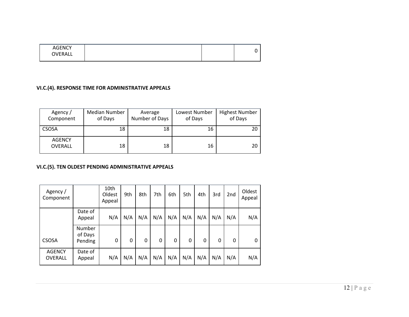| <b>AGENCY</b><br>OVERALL |  |  |
|--------------------------|--|--|
|                          |  |  |

# **VI.C.(4). RESPONSE TIME FOR ADMINISTRATIVE APPEALS**

| Agency/<br>Component            | Median Number<br>of Days | Average<br>Number of Days | Lowest Number<br>of Days | <b>Highest Number</b><br>of Days |
|---------------------------------|--------------------------|---------------------------|--------------------------|----------------------------------|
| <b>CSOSA</b>                    | 18                       | 18                        | 16                       | 20                               |
| <b>AGENCY</b><br><b>OVERALL</b> | 18                       | 18                        | 16                       | 20                               |

# **VI.C.(5). TEN OLDEST PENDING ADMINISTRATIVE APPEALS**

| Agency /<br>Component    |                              | 10th<br>Oldest<br>Appeal | 9th | 8th | 7th | 6th | 5th | 4th | 3rd | 2 <sub>nd</sub> | Oldest<br>Appeal |
|--------------------------|------------------------------|--------------------------|-----|-----|-----|-----|-----|-----|-----|-----------------|------------------|
|                          | Date of<br>Appeal            | N/A                      | N/A | N/A | N/A | N/A | N/A | N/A | N/A | N/A             | N/A              |
| <b>CSOSA</b>             | Number<br>of Days<br>Pending | 0                        | 0   | 0   | 0   | 0   | 0   | 0   | 0   | 0               | 0                |
| <b>AGENCY</b><br>OVERALL | Date of<br>Appeal            | N/A                      | N/A | N/A | N/A | N/A | N/A | N/A | N/A | N/A             | N/A              |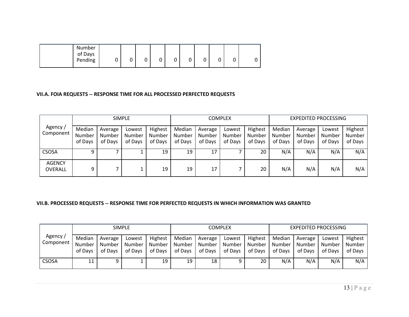| Number<br>of Days<br>Pending | 0<br>∽<br>U<br>ັ | u<br>ັ<br>◡ | ∽<br>u<br>u | ັ<br>w |
|------------------------------|------------------|-------------|-------------|--------|
|------------------------------|------------------|-------------|-------------|--------|

#### **VII.A. FOIA REQUESTS ‐‐ RESPONSE TIME FOR ALL PROCESSED PERFECTED REQUESTS**

|                          |                             |                              | <b>SIMPLE</b>               |                              |                             |                              | <b>COMPLEX</b>              |                              | <b>EXPEDITED PROCESSING</b> |                              |                             |                              |  |
|--------------------------|-----------------------------|------------------------------|-----------------------------|------------------------------|-----------------------------|------------------------------|-----------------------------|------------------------------|-----------------------------|------------------------------|-----------------------------|------------------------------|--|
| Agency /<br>Component    | Median<br>Number<br>of Days | Average<br>Number<br>of Days | Lowest<br>Number<br>of Days | Highest<br>Number<br>of Days | Median<br>Number<br>of Days | Average<br>Number<br>of Days | Lowest<br>Number<br>of Days | Highest<br>Number<br>of Days | Median<br>Number<br>of Days | Average<br>Number<br>of Days | Lowest<br>Number<br>of Days | Highest<br>Number<br>of Days |  |
| <b>CSOSA</b>             | 9                           |                              |                             | 19                           | 19                          | 17                           |                             | 20                           | N/A                         | N/A                          | N/A                         | N/A                          |  |
| <b>AGENCY</b><br>OVERALL | 9                           |                              |                             | 19                           | 19                          | 17                           |                             | 20                           | N/A                         | N/A                          | N/A                         | N/A                          |  |

#### **VII.B. PROCESSED REQUESTS ‐‐ RESPONSE TIME FOR PERFECTED REQUESTS IN WHICH INFORMATION WAS GRANTED**

|                      |                             |                              | <b>SIMPLE</b>               |                              |                             |                              | COMPLEX                     |                              | <b>EXPEDITED PROCESSING</b> |                              |                             |                              |  |
|----------------------|-----------------------------|------------------------------|-----------------------------|------------------------------|-----------------------------|------------------------------|-----------------------------|------------------------------|-----------------------------|------------------------------|-----------------------------|------------------------------|--|
| Agency,<br>Component | Median<br>Number<br>of Days | Average<br>Number<br>of Days | Lowest<br>Number<br>of Days | Highest<br>Number<br>of Days | Median<br>Number<br>of Days | Average<br>Number<br>of Days | Lowest<br>Number<br>of Days | Highest<br>Number<br>of Davs | Median<br>Number<br>of Davs | Average<br>Number<br>of Days | Lowest<br>Number<br>of Davs | Highest<br>Number<br>of Days |  |
| <b>CSOSA</b>         |                             |                              | --                          | 19                           | 19                          | 18                           |                             | 20                           | N/A                         | N/A                          | N/A                         | N/A                          |  |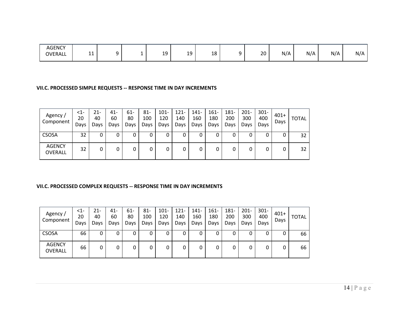| <b>AGENCY</b><br><b>OVERALL</b> | - - |     | 10      | 1۵         | 18 |                          | 20 | N/A | N/A | N/A | N/A |
|---------------------------------|-----|-----|---------|------------|----|--------------------------|----|-----|-----|-----|-----|
|                                 | .   | . . | <b></b> | <u>. .</u> |    | $\overline{\phantom{0}}$ |    |     |     |     |     |

#### **VII.C. PROCESSED SIMPLE REQUESTS ‐‐ RESPONSE TIME IN DAY INCREMENTS**

| Agency /<br>Component    | <1-<br>20<br>Days | 21-<br>40<br>Days | $41 -$<br>60<br>Days | 61-<br>80<br>Days | $81 -$<br>100<br>Days | $101 -$<br>120<br>Days | 121-<br>140<br>Days | 141-<br>160<br>Days | $161 -$<br>180<br>Days | 181-<br>200<br>Days | $201 -$<br>300<br>Days | $301 -$<br>400<br>Days | $401+$<br>Days | <b>TOTAL</b> |
|--------------------------|-------------------|-------------------|----------------------|-------------------|-----------------------|------------------------|---------------------|---------------------|------------------------|---------------------|------------------------|------------------------|----------------|--------------|
| <b>CSOSA</b>             | 32                | O                 |                      | 0                 | υ                     | 0                      | 0                   | υ                   | 0                      |                     | 0                      |                        | 0              | 32           |
| <b>AGENCY</b><br>OVERALL | 32                | 0                 |                      | 0                 |                       | 0                      | 0                   |                     | 0                      | 0                   | 0                      |                        | 0              | 32           |

#### **VII.C. PROCESSED COMPLEX REQUESTS ‐‐ RESPONSE TIME IN DAY INCREMENTS**

| Agency /<br>Component           | <1-<br>20<br>Days | 21-<br>40<br>Days | 41-<br>60<br>Days | 61-<br>80<br>Days | 81-<br>100<br>Days | $101 -$<br>120<br>Days | $121 -$<br>140<br>Days | $141 -$<br>160<br>Days | $161 -$<br>180<br>Days | 181-<br>200<br>Days | $201 -$<br>300<br>Days | $301 -$<br>400<br>Days | $401+$<br>Days | <b>TOTAL</b> |
|---------------------------------|-------------------|-------------------|-------------------|-------------------|--------------------|------------------------|------------------------|------------------------|------------------------|---------------------|------------------------|------------------------|----------------|--------------|
| <b>CSOSA</b>                    | 66                | 0                 |                   | 0                 |                    | 0                      | 0                      | 0                      | 0                      |                     | 0                      |                        | 0              | 66           |
| <b>AGENCY</b><br><b>OVERALL</b> | 66                | 0                 |                   | 0                 |                    | 0                      | 0                      | 0                      | 0                      | 0                   | 0                      |                        | 0              | 66           |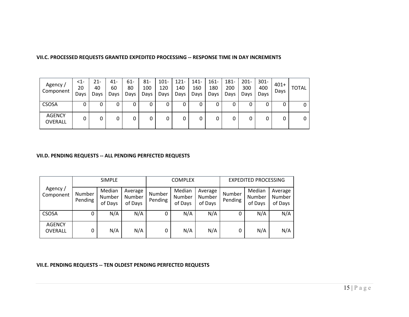| Agency /<br>Component    | <1-<br>20<br>Days | 21-<br>40<br>Days | $41 -$<br>60<br>Days | 61-<br>80<br>Days | $81 -$<br>100<br>Days | $101 -$<br>120<br>Days | $121 -$<br>140<br>Days | $141 -$<br>160<br>Days | $161 -$<br>180<br>Days | 181-<br>200<br>Days | $201 -$<br>300<br>Days | $301 -$<br>400<br>Days | $401+$<br>Days | <b>TOTAL</b> |
|--------------------------|-------------------|-------------------|----------------------|-------------------|-----------------------|------------------------|------------------------|------------------------|------------------------|---------------------|------------------------|------------------------|----------------|--------------|
| <b>CSOSA</b>             |                   |                   | 0                    | 0                 | 0                     | 0                      | 0                      |                        |                        | 0                   | 0                      |                        | 0              |              |
| <b>AGENCY</b><br>OVERALL |                   |                   | 0                    | 0                 |                       | 0                      | 0                      |                        |                        | 0                   |                        |                        | 0              |              |

#### **VII.C. PROCESSED REQUESTS GRANTED EXPEDITED PROCESSING ‐‐ RESPONSE TIME IN DAY INCREMENTS**

#### **VII.D. PENDING REQUESTS ‐‐ ALL PENDING PERFECTED REQUESTS**

|                          |                   | <b>SIMPLE</b>               |                              |                   | <b>COMPLEX</b>              |                              |                   | <b>EXPEDITED PROCESSING</b> |                              |
|--------------------------|-------------------|-----------------------------|------------------------------|-------------------|-----------------------------|------------------------------|-------------------|-----------------------------|------------------------------|
| Agency /<br>Component    | Number<br>Pending | Median<br>Number<br>of Days | Average<br>Number<br>of Days | Number<br>Pending | Median<br>Number<br>of Days | Average<br>Number<br>of Days | Number<br>Pending | Median<br>Number<br>of Days | Average<br>Number<br>of Days |
| <b>CSOSA</b>             | 0                 | N/A                         | N/A                          | 0                 | N/A                         | N/A                          | 0                 | N/A                         | N/A                          |
| <b>AGENCY</b><br>OVERALL | 0                 | N/A                         | N/A                          | 0                 | N/A                         | N/A                          | 0                 | N/A                         | N/A                          |

#### **VII.E. PENDING REQUESTS ‐‐ TEN OLDEST PENDING PERFECTED REQUESTS**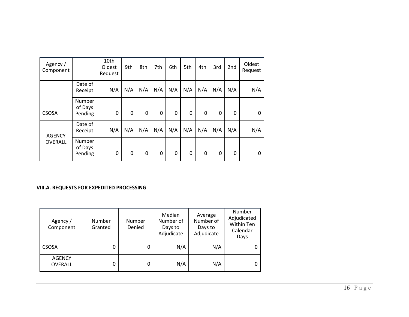| Agency /<br>Component |                              | 10th<br>Oldest<br>Request | 9th | 8th | 7th | 6th         | 5th | 4th | 3rd | 2nd | Oldest<br>Request |
|-----------------------|------------------------------|---------------------------|-----|-----|-----|-------------|-----|-----|-----|-----|-------------------|
|                       | Date of<br>Receipt           | N/A                       | N/A | N/A | N/A | N/A         | N/A | N/A | N/A | N/A | N/A               |
| <b>CSOSA</b>          | Number<br>of Days<br>Pending | 0                         | 0   | 0   | 0   | $\mathbf 0$ | 0   | 0   | 0   | 0   | $\Omega$          |
| <b>AGENCY</b>         | Date of<br>Receipt           | N/A                       | N/A | N/A | N/A | N/A         | N/A | N/A | N/A | N/A | N/A               |
| OVERALL               | Number<br>of Days<br>Pending | 0                         | 0   | 0   | 0   | $\mathbf 0$ | 0   | 0   | 0   | 0   | 0                 |

#### **VIII.A. REQUESTS FOR EXPEDITED PROCESSING**

| Agency /<br>Component           | Number<br>Granted | Number<br>Denied | Median<br>Number of<br>Days to<br>Adjudicate | Average<br>Number of<br>Days to<br>Adjudicate | Number<br>Adjudicated<br><b>Within Ten</b><br>Calendar<br>Days |
|---------------------------------|-------------------|------------------|----------------------------------------------|-----------------------------------------------|----------------------------------------------------------------|
| <b>CSOSA</b>                    |                   |                  | N/A                                          | N/A                                           |                                                                |
| <b>AGENCY</b><br><b>OVERALL</b> |                   |                  | N/A                                          | N/A                                           | 0                                                              |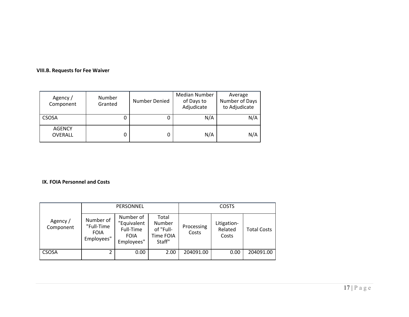#### **VIII.B. Requests for Fee Waiver**

| Agency /<br>Component    | Number<br>Granted | Median Number<br>Number Denied<br>of Days to<br>Adjudicate |     | Average<br>Number of Days<br>to Adjudicate |
|--------------------------|-------------------|------------------------------------------------------------|-----|--------------------------------------------|
| <b>CSOSA</b>             |                   |                                                            | N/A | N/A                                        |
| <b>AGENCY</b><br>OVERALL |                   |                                                            | N/A | N/A                                        |

#### **IX. FOIA Personnel and Costs**

|                       |                                                      | PERSONNEL                                                          |                                                     | <b>COSTS</b>        |                                 |                    |  |
|-----------------------|------------------------------------------------------|--------------------------------------------------------------------|-----------------------------------------------------|---------------------|---------------------------------|--------------------|--|
| Agency /<br>Component | Number of<br>"Full-Time<br><b>FOIA</b><br>Employees" | Number of<br>"Equivalent<br>Full-Time<br><b>FOIA</b><br>Employees" | Total<br>Number<br>of "Full-<br>Time FOIA<br>Staff" | Processing<br>Costs | Litigation-<br>Related<br>Costs | <b>Total Costs</b> |  |
| <b>CSOSA</b>          | 2                                                    | 0.00                                                               | 2.00                                                | 204091.00           | 0.00                            | 204091.00          |  |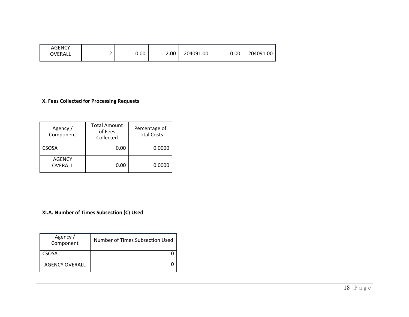| <b>AGENCY</b><br>OVERALL |   | 0.00 | 2.00 | 204091.00 | 0.00 | 204091.00 |
|--------------------------|---|------|------|-----------|------|-----------|
|                          | - |      |      |           |      |           |

#### **X. Fees Collected for Processing Requests**

| Agency /<br>Component    | <b>Total Amount</b><br>of Fees<br>Collected | Percentage of<br><b>Total Costs</b> |
|--------------------------|---------------------------------------------|-------------------------------------|
| <b>CSOSA</b>             | 0.00                                        | 0.0000                              |
| <b>AGENCY</b><br>OVERALL | 0.00                                        | 0.0000                              |

#### **XI.A. Number of Times Subsection (C) Used**

| Agency /<br>Component | Number of Times Subsection Used |
|-----------------------|---------------------------------|
| CSOSA                 |                                 |
| <b>AGENCY OVERALL</b> |                                 |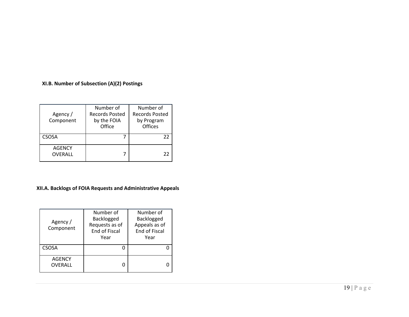#### **XI.B. Number of Subsection (A)(2) Postings**

| Agency /<br>Component    | Number of<br><b>Records Posted</b><br>by the FOIA<br>Office | Number of<br><b>Records Posted</b><br>by Program<br>Offices |
|--------------------------|-------------------------------------------------------------|-------------------------------------------------------------|
| <b>CSOSA</b>             |                                                             | 22                                                          |
| <b>AGENCY</b><br>OVERALL |                                                             | 22                                                          |

#### **XII.A. Backlogs of FOIA Requests and Administrative Appeals**

| Agency /<br>Component           | Number of<br>Backlogged<br>Requests as of<br>End of Fiscal<br>Year | Number of<br>Backlogged<br>Appeals as of<br><b>End of Fiscal</b><br>Year |
|---------------------------------|--------------------------------------------------------------------|--------------------------------------------------------------------------|
| <b>CSOSA</b>                    |                                                                    |                                                                          |
| <b>AGENCY</b><br><b>OVERALL</b> |                                                                    |                                                                          |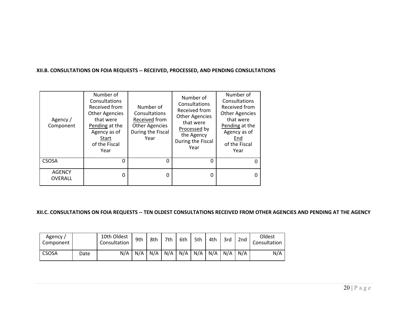#### **XII.B. CONSULTATIONS ON FOIA REQUESTS ‐‐ RECEIVED, PROCESSED, AND PENDING CONSULTATIONS**

| Agency /<br>Component           | Number of<br>Consultations<br>Received from<br><b>Other Agencies</b><br>that were<br>Pending at the<br>Agency as of<br>Start<br>of the Fiscal<br>Year | Number of<br>Consultations<br>Received from<br><b>Other Agencies</b><br>During the Fiscal<br>Year | Number of<br>Consultations<br>Received from<br><b>Other Agencies</b><br>that were<br>Processed by<br>the Agency<br>During the Fiscal<br>Year | Number of<br>Consultations<br>Received from<br><b>Other Agencies</b><br>that were<br>Pending at the<br>Agency as of<br>End<br>of the Fiscal<br>Year |
|---------------------------------|-------------------------------------------------------------------------------------------------------------------------------------------------------|---------------------------------------------------------------------------------------------------|----------------------------------------------------------------------------------------------------------------------------------------------|-----------------------------------------------------------------------------------------------------------------------------------------------------|
| CSOSA                           | O                                                                                                                                                     | 0                                                                                                 | O                                                                                                                                            | <sup>0</sup>                                                                                                                                        |
| <b>AGENCY</b><br><b>OVERALL</b> | 0                                                                                                                                                     | 0                                                                                                 | 0                                                                                                                                            | 0                                                                                                                                                   |

## XII.C. CONSULTATIONS ON FOIA REQUESTS -- TEN OLDEST CONSULTATIONS RECEIVED FROM OTHER AGENCIES AND PENDING AT THE AGENCY

| Agency /<br>Component |      | 10th Oldest<br>Consultation | 9th | 8th | 7th | 6th | 5th | 4th | 3rd | 2nd | Oldest<br>Consultation |
|-----------------------|------|-----------------------------|-----|-----|-----|-----|-----|-----|-----|-----|------------------------|
| <b>CSOSA</b>          | Date | N/A                         | N/A | N/A | N/A | N/A | N/A | N/A | N/A | N/A | N/A                    |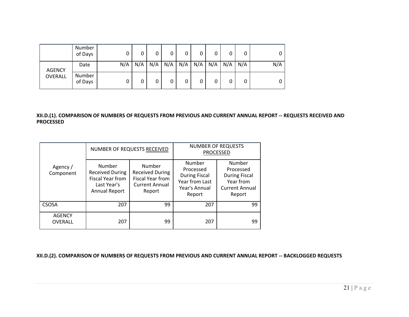|                          | Number<br>of Days | 0   | 0   | 0   | 0   |     | 0   | 0 | 0           | 0   |     |
|--------------------------|-------------------|-----|-----|-----|-----|-----|-----|---|-------------|-----|-----|
| <b>AGENCY</b><br>OVERALL | Date              | N/A | N/A | N/A | N/A | N/A | N/A |   | $N/A$ $N/A$ | N/A | N/A |
|                          | Number<br>of Days | 0   | 0   | 0   | 0   |     | 0   | 0 | 0           | 0   |     |

## XII.D.(1). COMPARISON OF NUMBERS OF REQUESTS FROM PREVIOUS AND CURRENT ANNUAL REPORT -- REQUESTS RECEIVED AND **PROCESSED**

| Agency /<br>Component    |                                                                                             | NUMBER OF REQUESTS RECEIVED                                                             | <b>NUMBER OF REQUESTS</b><br><b>PROCESSED</b>                                            |                                                                                             |  |
|--------------------------|---------------------------------------------------------------------------------------------|-----------------------------------------------------------------------------------------|------------------------------------------------------------------------------------------|---------------------------------------------------------------------------------------------|--|
|                          | Number<br><b>Received During</b><br>Fiscal Year from<br>Last Year's<br><b>Annual Report</b> | Number<br><b>Received During</b><br>Fiscal Year from<br><b>Current Annual</b><br>Report | Number<br>Processed<br><b>During Fiscal</b><br>Year from Last<br>Year's Annual<br>Report | Number<br>Processed<br><b>During Fiscal</b><br>Year from<br><b>Current Annual</b><br>Report |  |
| CSOSA                    | 207                                                                                         | 99                                                                                      | 207                                                                                      | 99                                                                                          |  |
| <b>AGENCY</b><br>OVERALL | 207                                                                                         | 99                                                                                      | 207                                                                                      | 99                                                                                          |  |

**XII.D.(2). COMPARISON OF NUMBERS OF REQUESTS FROM PREVIOUS AND CURRENT ANNUAL REPORT ‐‐ BACKLOGGED REQUESTS**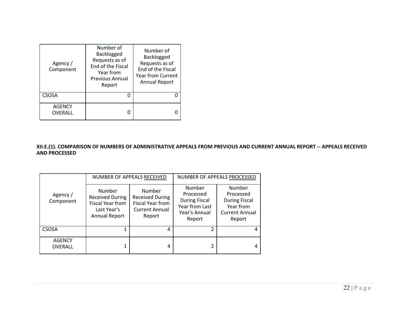| Agency /<br>Component    | Number of<br>Backlogged<br>Requests as of<br>End of the Fiscal<br>Year from<br>Previous Annual<br>Report | Number of<br>Backlogged<br>Requests as of<br>End of the Fiscal<br><b>Year from Current</b><br><b>Annual Report</b> |
|--------------------------|----------------------------------------------------------------------------------------------------------|--------------------------------------------------------------------------------------------------------------------|
| <b>CSOSA</b>             |                                                                                                          |                                                                                                                    |
| <b>AGENCY</b><br>OVERALL |                                                                                                          |                                                                                                                    |

XII.E.(1). COMPARISON OF NUMBERS OF ADMINISTRATIVE APPEALS FROM PREVIOUS AND CURRENT ANNUAL REPORT -- APPEALS RECEIVED **AND PROCESSED**

| Agency /<br>Component    |                                                                                             | NUMBER OF APPEALS RECEIVED                                                              | NUMBER OF APPEALS PROCESSED                                                              |                                                                                             |  |
|--------------------------|---------------------------------------------------------------------------------------------|-----------------------------------------------------------------------------------------|------------------------------------------------------------------------------------------|---------------------------------------------------------------------------------------------|--|
|                          | Number<br><b>Received During</b><br>Fiscal Year from<br>Last Year's<br><b>Annual Report</b> | Number<br><b>Received During</b><br>Fiscal Year from<br><b>Current Annual</b><br>Report | Number<br>Processed<br><b>During Fiscal</b><br>Year from Last<br>Year's Annual<br>Report | Number<br>Processed<br><b>During Fiscal</b><br>Year from<br><b>Current Annual</b><br>Report |  |
| <b>CSOSA</b>             |                                                                                             | 4                                                                                       |                                                                                          | 4                                                                                           |  |
| <b>AGENCY</b><br>OVERALL |                                                                                             | 4                                                                                       |                                                                                          | 4                                                                                           |  |